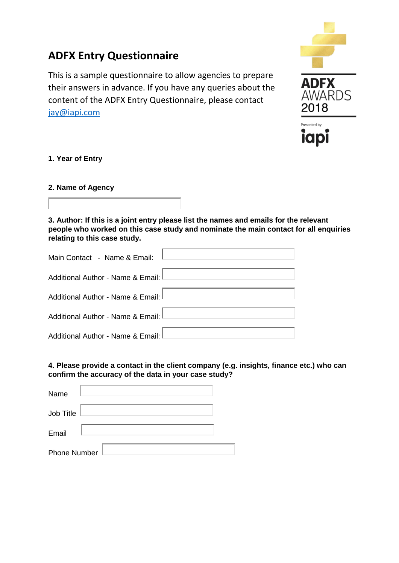# **ADFX Entry Questionnaire**

This is a sample questionnaire to allow agencies to prepare their answers in advance. If you have any queries about the content of the ADFX Entry Questionnaire, please contact [jay@iapi.com](mailto:jay@iapi.com)



# **1. Year of Entry**

# **2. Name of Agency**



**3. Author: If this is a joint entry please list the names and emails for the relevant people who worked on this case study and nominate the main contact for all enquiries relating to this case study.**

| Main Contact - Name & Email:        |  |
|-------------------------------------|--|
| Additional Author - Name & Email:   |  |
| Additional Author - Name & Email:   |  |
| Additional Author - Name & Email: I |  |
| Additional Author - Name & Email: I |  |

# **4. Please provide a contact in the client company (e.g. insights, finance etc.) who can confirm the accuracy of the data in your case study?**

| Name                |  |
|---------------------|--|
| <b>Job Title</b>    |  |
| Email               |  |
| <b>Phone Number</b> |  |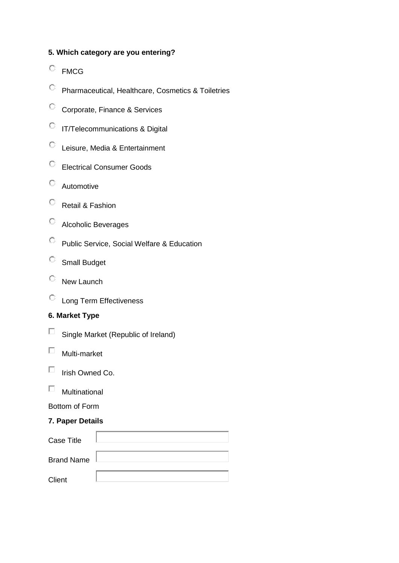# **5. Which category are you entering?**

- FMCG
- Pharmaceutical, Healthcare, Cosmetics & Toiletries
- Corporate, Finance & Services
- IT/Telecommunications & Digital
- Leisure, Media & Entertainment
- Electrical Consumer Goods
- Automotive
- Retail & Fashion
- Alcoholic Beverages
- Public Service, Social Welfare & Education
- Small Budget
- <sup>C</sup> New Launch
- Long Term Effectiveness

# **6. Market Type**

- Single Market (Republic of Ireland)
- $\Box$ Multi-market
- П Irish Owned Co.
- $\Box$ Multinational

# Bottom of Form

### **7. Paper Details**

| <b>Case Title</b> |  |
|-------------------|--|
| <b>Brand Name</b> |  |
| Client            |  |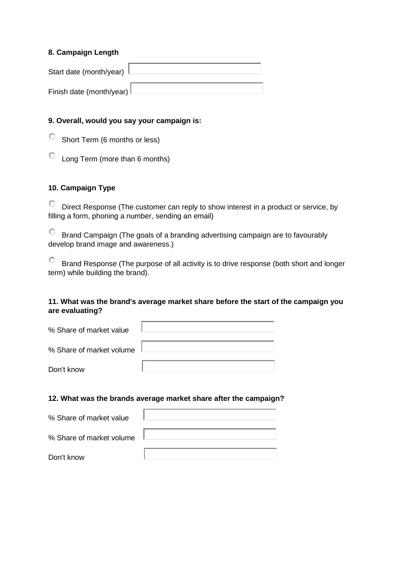### **8. Campaign Length**

| Start date (month/year)                                          |  |
|------------------------------------------------------------------|--|
| Finish date (month/year) $\mathsf{\mathsf{\mathsf{\mathsf{L}}}}$ |  |

### **9. Overall, would you say your campaign is:**

Short Term (6 months or less)

Long Term (more than 6 months)

# **10. Campaign Type**

Direct Response (The customer can reply to show interest in a product or service, by filling a form, phoning a number, sending an email)

Brand Campaign (The goals of a branding advertising campaign are to favourably develop brand image and awareness.)

Brand Response (The purpose of all activity is to drive response (both short and longer term) while building the brand).

# **11. What was the brand's average market share before the start of the campaign you are evaluating?**

| % Share of market value  |  |
|--------------------------|--|
| % Share of market volume |  |
| Don't know               |  |

#### **12. What was the brands average market share after the campaign?**

| % Share of market value  |  |
|--------------------------|--|
|                          |  |
| % Share of market volume |  |
|                          |  |
| Don't know               |  |
|                          |  |

H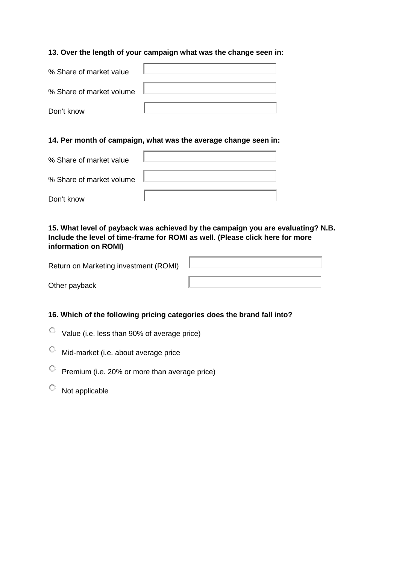### **13. Over the length of your campaign what was the change seen in:**

| % Share of market value  |  |
|--------------------------|--|
|                          |  |
| % Share of market volume |  |
|                          |  |
| Don't know               |  |

#### **14. Per month of campaign, what was the average change seen in:**

| % Share of market value  |  |
|--------------------------|--|
|                          |  |
| % Share of market volume |  |
|                          |  |
| Don't know               |  |
|                          |  |

# **15. What level of payback was achieved by the campaign you are evaluating? N.B. Include the level of time-frame for ROMI as well. (Please click here for more information on ROMI)**

| Return on Marketing investment (ROMI) |  |
|---------------------------------------|--|
| Other payback                         |  |

# **16. Which of the following pricing categories does the brand fall into?**

- Value (i.e. less than 90% of average price)
- $\mathbb{C}$ Mid-market (i.e. about average price
- $\mathbb{C}^-$ Premium (i.e. 20% or more than average price)
- $\heartsuit$  Not applicable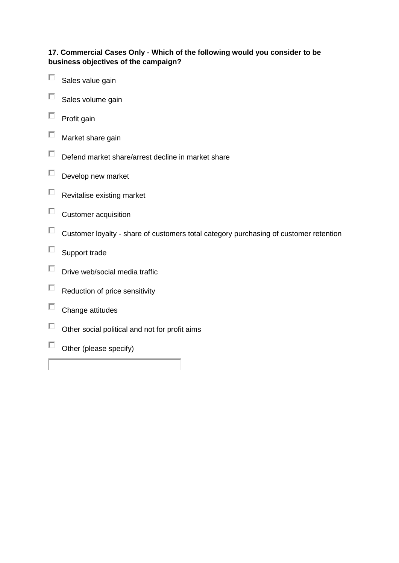# **17. Commercial Cases Only - Which of the following would you consider to be business objectives of the campaign?**

- П Sales value gain
- П Sales volume gain
- $\Box$ Profit gain
- П Market share gain
- $\Box$ Defend market share/arrest decline in market share
- $\Box$ Develop new market
- $\Box$ Revitalise existing market
- $\square$  Customer acquisition
- $\Box$  Customer loyalty share of customers total category purchasing of customer retention
- $\Box$ Support trade
- Drive web/social media traffic  $\Box$
- $\Box$ Reduction of price sensitivity
- П Change attitudes
- $\Box$ Other social political and not for profit aims
- $\Box$  Other (please specify)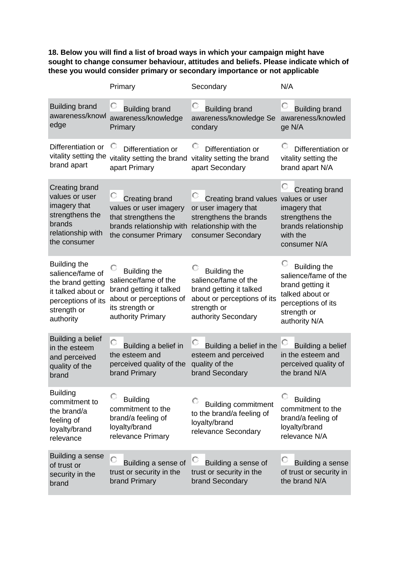**18. Below you will find a list of broad ways in which your campaign might have sought to change consumer behaviour, attitudes and beliefs. Please indicate which of these you would consider primary or secondary importance or not applicable**

|                                                                                                                               | Primary                                                                                                                                   | Secondary                                                                                                                                   | N/A                                                                                                                                      |
|-------------------------------------------------------------------------------------------------------------------------------|-------------------------------------------------------------------------------------------------------------------------------------------|---------------------------------------------------------------------------------------------------------------------------------------------|------------------------------------------------------------------------------------------------------------------------------------------|
| <b>Building brand</b><br>awareness/knowl<br>edge                                                                              | U<br><b>Building brand</b><br>awareness/knowledge<br>Primary                                                                              | O<br><b>Building brand</b><br>awareness/knowledge Se<br>condary                                                                             | O<br><b>Building brand</b><br>awareness/knowled<br>ge N/A                                                                                |
| Differentiation or<br>vitality setting the<br>brand apart                                                                     | Differentiation or<br>vitality setting the brand<br>apart Primary                                                                         | U<br>Differentiation or<br>vitality setting the brand<br>apart Secondary                                                                    | Differentiation or<br>vitality setting the<br>brand apart N/A                                                                            |
| Creating brand<br>values or user<br>imagery that<br>strengthens the<br>brands<br>relationship with<br>the consumer            | O<br><b>Creating brand</b><br>values or user imagery<br>that strengthens the<br>brands relationship with<br>the consumer Primary          | O<br>Creating brand values<br>or user imagery that<br>strengthens the brands<br>relationship with the<br>consumer Secondary                 | <b>Creating brand</b><br>values or user<br>imagery that<br>strengthens the<br>brands relationship<br>with the<br>consumer N/A            |
| Building the<br>salience/fame of<br>the brand getting<br>it talked about or<br>perceptions of its<br>strength or<br>authority | <b>Building the</b><br>salience/fame of the<br>brand getting it talked<br>about or perceptions of<br>its strength or<br>authority Primary | <b>Building the</b><br>salience/fame of the<br>brand getting it talked<br>about or perceptions of its<br>strength or<br>authority Secondary | <b>Building the</b><br>salience/fame of the<br>brand getting it<br>talked about or<br>perceptions of its<br>strength or<br>authority N/A |
| Building a belief<br>in the esteem<br>and perceived<br>quality of the<br>brand                                                | О<br>Building a belief in<br>the esteem and<br>perceived quality of the<br>brand Primary                                                  | Building a belief in the<br>esteem and perceived<br>quality of the<br>brand Secondary                                                       | Building a belief<br>in the esteem and<br>perceived quality of<br>the brand N/A                                                          |
| <b>Building</b><br>commitment to<br>the brand/a<br>feeling of<br>loyalty/brand<br>relevance                                   | <b>Building</b><br>commitment to the<br>brand/a feeling of<br>loyalty/brand<br>relevance Primary                                          | <b>Building commitment</b><br>to the brand/a feeling of<br>loyalty/brand<br>relevance Secondary                                             | <b>Building</b><br>commitment to the<br>brand/a feeling of<br>loyalty/brand<br>relevance N/A                                             |
| Building a sense<br>of trust or<br>security in the<br>brand                                                                   | $\circ$<br>Building a sense of<br>trust or security in the<br>brand Primary                                                               | O<br>Building a sense of<br>trust or security in the<br>brand Secondary                                                                     | O<br>Building a sense<br>of trust or security in<br>the brand N/A                                                                        |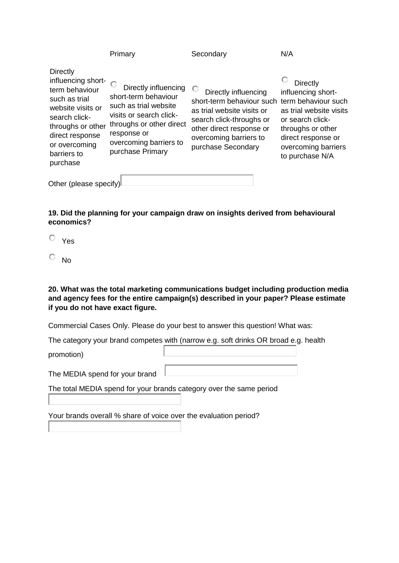|                                                                                                                                                                                                    | Primary                                                                                                                                                                                   | Secondary                                                                                                                                                                                     | N/A                                                                                                                                                                                       |
|----------------------------------------------------------------------------------------------------------------------------------------------------------------------------------------------------|-------------------------------------------------------------------------------------------------------------------------------------------------------------------------------------------|-----------------------------------------------------------------------------------------------------------------------------------------------------------------------------------------------|-------------------------------------------------------------------------------------------------------------------------------------------------------------------------------------------|
| <b>Directly</b><br>influencing short-<br>term behaviour<br>such as trial<br>website visits or<br>search click-<br>throughs or other<br>direct response<br>or overcoming<br>barriers to<br>purchase | Directly influencing<br>short-term behaviour<br>such as trial website<br>visits or search click-<br>throughs or other direct<br>response or<br>overcoming barriers to<br>purchase Primary | -0<br>Directly influencing<br>short-term behaviour such<br>as trial website visits or<br>search click-throughs or<br>other direct response or<br>overcoming barriers to<br>purchase Secondary | Directly<br>influencing short-<br>term behaviour such<br>as trial website visits<br>or search click-<br>throughs or other<br>direct response or<br>overcoming barriers<br>to purchase N/A |
| Other (please specify)                                                                                                                                                                             |                                                                                                                                                                                           |                                                                                                                                                                                               |                                                                                                                                                                                           |

**19. Did the planning for your campaign draw on insights derived from behavioural economics?**

- Yes
- $\overline{\circ}$  No

**20. What was the total marketing communications budget including production media and agency fees for the entire campaign(s) described in your paper? Please estimate if you do not have exact figure.**

Commercial Cases Only. Please do your best to answer this question! What was:

The category your brand competes with (narrow e.g. soft drinks OR broad e.g. health

promotion)

The MEDIA spend for your brand

The total MEDIA spend for your brands category over the same period

Your brands overall % share of voice over the evaluation period?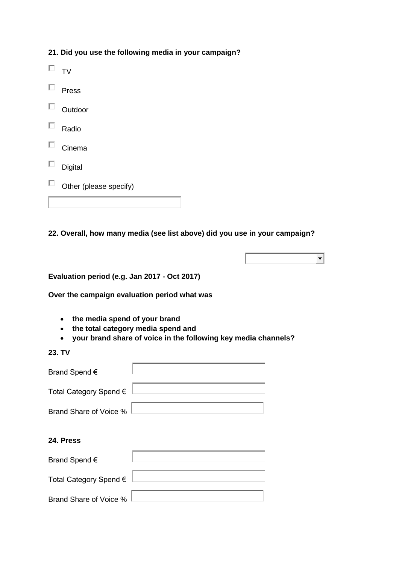| 21. Did you use the following media in your campaign? |  |  |  |  |  |  |  |
|-------------------------------------------------------|--|--|--|--|--|--|--|
|-------------------------------------------------------|--|--|--|--|--|--|--|

|   | <b>TV</b>              |
|---|------------------------|
| ш | Press                  |
| U | Outdoor                |
| ப | Radio                  |
| ப | Cinema                 |
| ப | Digital                |
|   | Other (please specify) |
|   |                        |

**22. Overall, how many media (see list above) did you use in your campaign?**



**Evaluation period (e.g. Jan 2017 - Oct 2017)**

**Over the campaign evaluation period what was**

- **the media spend of your brand**
- **the total category media spend and**
- **your brand share of voice in the following key media channels?**

**23. TV**

| Brand Spend $\epsilon$ |  |
|------------------------|--|
| Total Category Spend € |  |
| Brand Share of Voice % |  |

# **24. Press**

| Brand Spend $\epsilon$ |  |
|------------------------|--|
| Total Category Spend € |  |
| Brand Share of Voice % |  |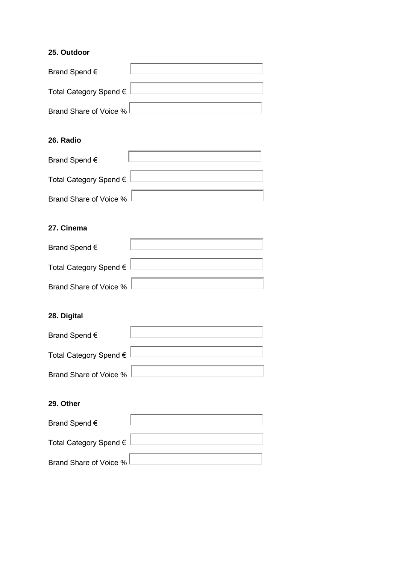# **25. Outdoor**

| Brand Spend $\epsilon$ |  |
|------------------------|--|
| Total Category Spend € |  |
| Brand Share of Voice % |  |

# **26. Radio**

| Brand Spend $\epsilon$   |  |
|--------------------------|--|
| Total Category Spend €   |  |
| Brand Share of Voice % L |  |

# **27. Cinema**

| Brand Spend $\epsilon$ |  |
|------------------------|--|
| Total Category Spend € |  |
| Brand Share of Voice % |  |

# **28. Digital**

| Brand Spend $\epsilon$ |  |
|------------------------|--|
| Total Category Spend € |  |
| Brand Share of Voice % |  |

# **29. Other**

| Brand Spend $\epsilon$ |  |
|------------------------|--|
| Total Category Spend € |  |
| Brand Share of Voice % |  |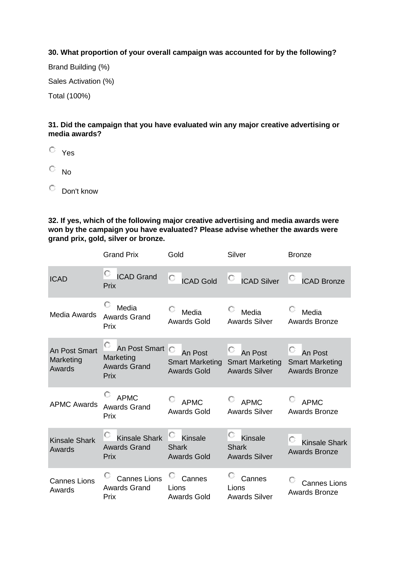# **30. What proportion of your overall campaign was accounted for by the following?**

Brand Building (%) Sales Activation (%) Total (100%)

# **31. Did the campaign that you have evaluated win any major creative advertising or media awards?**

Yes

 $\overline{\mathbb{C}}$  No

Don't know

**32. If yes, which of the following major creative advertising and media awards were won by the campaign you have evaluated? Please advise whether the awards were grand prix, gold, silver or bronze.**

|                                      | <b>Grand Prix</b>                                                     | Gold                                                    | Silver                                                         | <b>Bronze</b>                                             |
|--------------------------------------|-----------------------------------------------------------------------|---------------------------------------------------------|----------------------------------------------------------------|-----------------------------------------------------------|
| <b>ICAD</b>                          | O<br><b>ICAD Grand</b><br>Prix                                        | O<br><b>ICAD Gold</b>                                   | O<br><b>ICAD Silver</b>                                        | <b>ICAD Bronze</b>                                        |
| Media Awards                         | Media<br><b>Awards Grand</b><br>Prix                                  | Media<br><b>Awards Gold</b>                             | Media<br><b>Awards Silver</b>                                  | Media<br><b>Awards Bronze</b>                             |
| An Post Smart<br>Marketing<br>Awards | U<br>An Post Smart<br>Marketing<br><b>Awards Grand</b><br><b>Prix</b> | An Post<br><b>Smart Marketing</b><br><b>Awards Gold</b> | U<br>An Post<br><b>Smart Marketing</b><br><b>Awards Silver</b> | An Post<br><b>Smart Marketing</b><br><b>Awards Bronze</b> |
| <b>APMC Awards</b>                   | <b>APMC</b><br><b>Awards Grand</b><br>Prix                            | <b>APMC</b><br><b>Awards Gold</b>                       | <b>APMC</b><br><b>Awards Silver</b>                            | <b>APMC</b><br><b>Awards Bronze</b>                       |
| <b>Kinsale Shark</b><br>Awards       | O<br><b>Kinsale Shark</b><br><b>Awards Grand</b><br>Prix              | O<br><b>Kinsale</b><br>Shark<br><b>Awards Gold</b>      | <b>Kinsale</b><br><b>Shark</b><br><b>Awards Silver</b>         | <b>Kinsale Shark</b><br><b>Awards Bronze</b>              |
| <b>Cannes Lions</b><br>Awards        | O<br><b>Cannes Lions</b><br><b>Awards Grand</b><br>Prix               | Cannes<br>Lions<br><b>Awards Gold</b>                   | Cannes<br>Lions<br><b>Awards Silver</b>                        | <b>Cannes Lions</b><br><b>Awards Bronze</b>               |